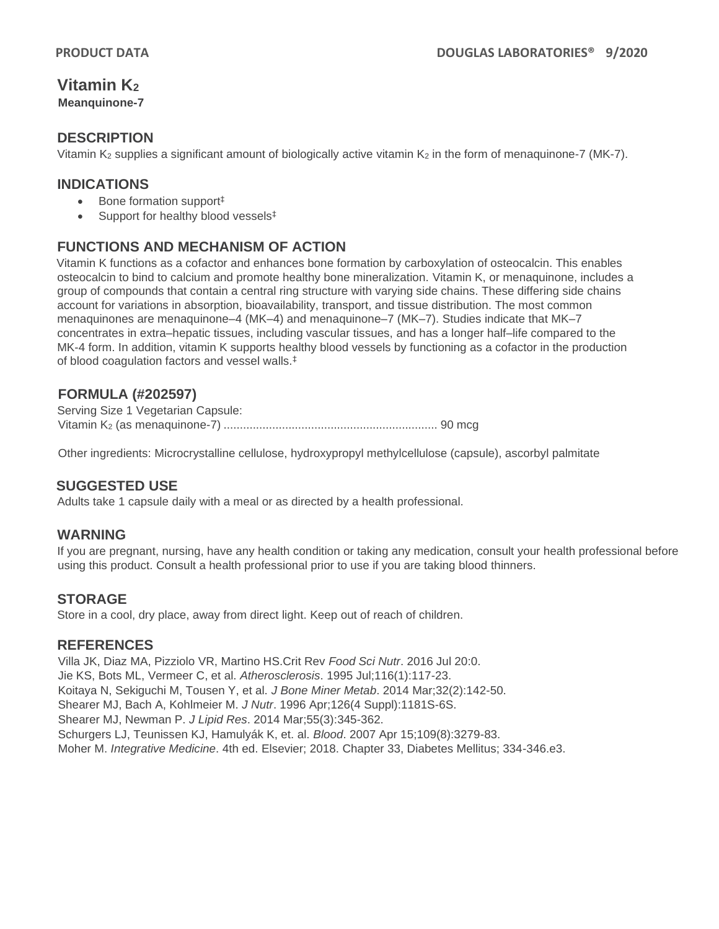# **Vitamin K<sup>2</sup>**

**Meanquinone-7**

### **DESCRIPTION**

Vitamin  $K_2$  supplies a significant amount of biologically active vitamin  $K_2$  in the form of menaquinone-7 (MK-7).

## **INDICATIONS**

- Bone formation support<sup>‡</sup>
- Support for healthy blood vessels<sup>‡</sup>

# **FUNCTIONS AND MECHANISM OF ACTION**

Vitamin K functions as a cofactor and enhances bone formation by carboxylation of osteocalcin. This enables osteocalcin to bind to calcium and promote healthy bone mineralization. Vitamin K, or menaquinone, includes a group of compounds that contain a central ring structure with varying side chains. These differing side chains account for variations in absorption, bioavailability, transport, and tissue distribution. The most common menaquinones are menaquinone–4 (MK–4) and menaquinone–7 (MK–7). Studies indicate that MK–7 concentrates in extra–hepatic tissues, including vascular tissues, and has a longer half–life compared to the MK-4 form. In addition, vitamin K supports healthy blood vessels by functioning as a cofactor in the production of blood coagulation factors and vessel walls.‡

#### **FORMULA (#202597)**

Serving Size 1 Vegetarian Capsule: Vitamin K<sup>2</sup> (as menaquinone-7) .................................................................. 90 mcg

Other ingredients: Microcrystalline cellulose, hydroxypropyl methylcellulose (capsule), ascorbyl palmitate

#### **SUGGESTED USE**

Adults take 1 capsule daily with a meal or as directed by a health professional.

#### **WARNING**

If you are pregnant, nursing, have any health condition or taking any medication, consult your health professional before using this product. Consult a health professional prior to use if you are taking blood thinners.

#### **STORAGE**

Store in a cool, dry place, away from direct light. Keep out of reach of children.

#### **REFERENCES**

Villa JK, Diaz MA, Pizziolo VR, Martino HS.Crit Rev *Food Sci Nutr*. 2016 Jul 20:0. Jie KS, Bots ML, Vermeer C, et al. *Atherosclerosis*. 1995 Jul;116(1):117-23. Koitaya N, Sekiguchi M, Tousen Y, et al. *J Bone Miner Metab*. 2014 Mar;32(2):142-50. Shearer MJ, Bach A, Kohlmeier M. *J Nutr*. 1996 Apr;126(4 Suppl):1181S-6S. Shearer MJ, Newman P. *J Lipid Res*. 2014 Mar;55(3):345-362. Schurgers LJ, Teunissen KJ, Hamulyák K, et. al. *Blood*. 2007 Apr 15;109(8):3279-83. Moher M. *Integrative Medicine*. 4th ed. Elsevier; 2018. Chapter 33, Diabetes Mellitus; 334-346.e3.